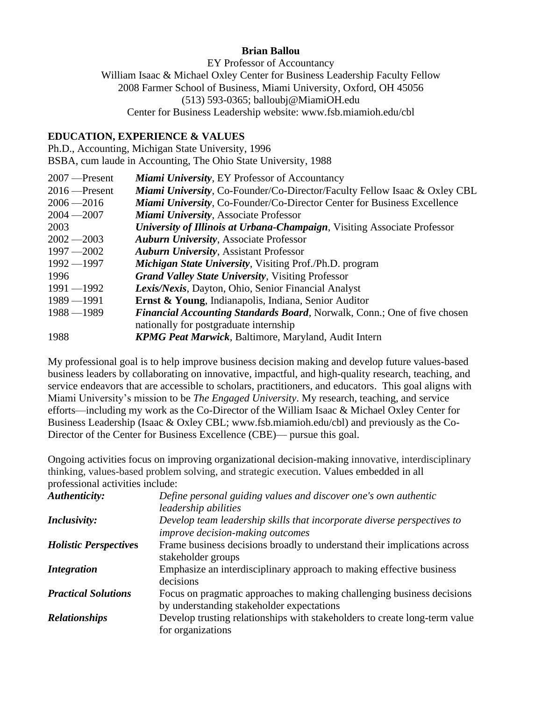### **Brian Ballou**

EY Professor of Accountancy William Isaac & Michael Oxley Center for Business Leadership Faculty Fellow 2008 Farmer School of Business, Miami University, Oxford, OH 45056 (513) 593-0365; balloubj@MiamiOH.edu Center for Business Leadership website: www.fsb.miamioh.edu/cbl

### **EDUCATION, EXPERIENCE & VALUES**

Ph.D., Accounting, Michigan State University, 1996

BSBA, cum laude in Accounting, The Ohio State University, 1988

| <b>Miami University, EY Professor of Accountancy</b>                                 |
|--------------------------------------------------------------------------------------|
| <b>Miami University, Co-Founder/Co-Director/Faculty Fellow Isaac &amp; Oxley CBL</b> |
| Miami University, Co-Founder/Co-Director Center for Business Excellence              |
| Miami University, Associate Professor                                                |
| University of Illinois at Urbana-Champaign, Visiting Associate Professor             |
| <b>Auburn University, Associate Professor</b>                                        |
| <b>Auburn University, Assistant Professor</b>                                        |
| Michigan State University, Visiting Prof./Ph.D. program                              |
| <b>Grand Valley State University, Visiting Professor</b>                             |
| <b>Lexis/Nexis, Dayton, Ohio, Senior Financial Analyst</b>                           |
| <b>Ernst &amp; Young, Indianapolis, Indiana, Senior Auditor</b>                      |
| <b>Financial Accounting Standards Board, Norwalk, Conn.; One of five chosen</b>      |
| nationally for postgraduate internship                                               |
| <b>KPMG Peat Marwick, Baltimore, Maryland, Audit Intern</b>                          |
|                                                                                      |

My professional goal is to help improve business decision making and develop future values-based business leaders by collaborating on innovative, impactful, and high-quality research, teaching, and service endeavors that are accessible to scholars, practitioners, and educators. This goal aligns with Miami University's mission to be *The Engaged University*. My research, teaching, and service efforts—including my work as the Co-Director of the William Isaac & Michael Oxley Center for Business Leadership (Isaac & Oxley CBL; www.fsb.miamioh.edu/cbl) and previously as the Co-Director of the Center for Business Excellence (CBE)— pursue this goal.

Ongoing activities focus on improving organizational decision-making innovative, interdisciplinary thinking, values-based problem solving, and strategic execution. Values embedded in all professional activities include:

| Authenticity:                | Define personal guiding values and discover one's own authentic                                                     |
|------------------------------|---------------------------------------------------------------------------------------------------------------------|
|                              | leadership abilities                                                                                                |
| <i>Inclusivity:</i>          | Develop team leadership skills that incorporate diverse perspectives to                                             |
|                              | improve decision-making outcomes                                                                                    |
| <b>Holistic Perspectives</b> | Frame business decisions broadly to understand their implications across<br>stakeholder groups                      |
| <i>Integration</i>           | Emphasize an interdisciplinary approach to making effective business<br>decisions                                   |
| <b>Practical Solutions</b>   | Focus on pragmatic approaches to making challenging business decisions<br>by understanding stakeholder expectations |
| <b>Relationships</b>         | Develop trusting relationships with stakeholders to create long-term value<br>for organizations                     |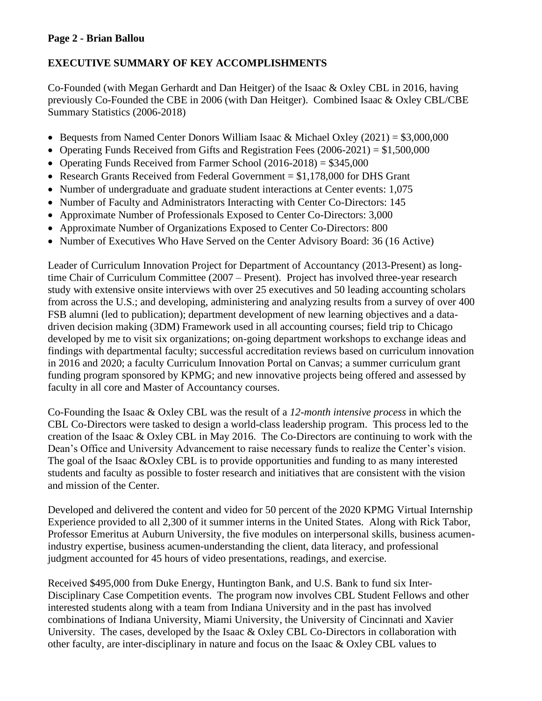# **Page 2 - Brian Ballou**

# **EXECUTIVE SUMMARY OF KEY ACCOMPLISHMENTS**

Co-Founded (with Megan Gerhardt and Dan Heitger) of the Isaac & Oxley CBL in 2016, having previously Co-Founded the CBE in 2006 (with Dan Heitger). Combined Isaac & Oxley CBL/CBE Summary Statistics (2006-2018)

- Bequests from Named Center Donors William Isaac & Michael Oxley (2021) = \$3,000,000
- Operating Funds Received from Gifts and Registration Fees (2006-2021) = \$1,500,000
- Operating Funds Received from Farmer School  $(2016-2018) = $345,000$
- Research Grants Received from Federal Government  $= $1,178,000$  for DHS Grant
- Number of undergraduate and graduate student interactions at Center events: 1,075
- Number of Faculty and Administrators Interacting with Center Co-Directors: 145
- Approximate Number of Professionals Exposed to Center Co-Directors: 3,000
- Approximate Number of Organizations Exposed to Center Co-Directors: 800
- Number of Executives Who Have Served on the Center Advisory Board: 36 (16 Active)

Leader of Curriculum Innovation Project for Department of Accountancy (2013-Present) as longtime Chair of Curriculum Committee (2007 – Present). Project has involved three-year research study with extensive onsite interviews with over 25 executives and 50 leading accounting scholars from across the U.S.; and developing, administering and analyzing results from a survey of over 400 FSB alumni (led to publication); department development of new learning objectives and a datadriven decision making (3DM) Framework used in all accounting courses; field trip to Chicago developed by me to visit six organizations; on-going department workshops to exchange ideas and findings with departmental faculty; successful accreditation reviews based on curriculum innovation in 2016 and 2020; a faculty Curriculum Innovation Portal on Canvas; a summer curriculum grant funding program sponsored by KPMG; and new innovative projects being offered and assessed by faculty in all core and Master of Accountancy courses.

Co-Founding the Isaac & Oxley CBL was the result of a *12-month intensive process* in which the CBL Co-Directors were tasked to design a world-class leadership program. This process led to the creation of the Isaac & Oxley CBL in May 2016. The Co-Directors are continuing to work with the Dean's Office and University Advancement to raise necessary funds to realize the Center's vision. The goal of the Isaac &Oxley CBL is to provide opportunities and funding to as many interested students and faculty as possible to foster research and initiatives that are consistent with the vision and mission of the Center.

Developed and delivered the content and video for 50 percent of the 2020 KPMG Virtual Internship Experience provided to all 2,300 of it summer interns in the United States. Along with Rick Tabor, Professor Emeritus at Auburn University, the five modules on interpersonal skills, business acumenindustry expertise, business acumen-understanding the client, data literacy, and professional judgment accounted for 45 hours of video presentations, readings, and exercise.

Received \$495,000 from Duke Energy, Huntington Bank, and U.S. Bank to fund six Inter-Disciplinary Case Competition events. The program now involves CBL Student Fellows and other interested students along with a team from Indiana University and in the past has involved combinations of Indiana University, Miami University, the University of Cincinnati and Xavier University. The cases, developed by the Isaac & Oxley CBL Co-Directors in collaboration with other faculty, are inter-disciplinary in nature and focus on the Isaac & Oxley CBL values to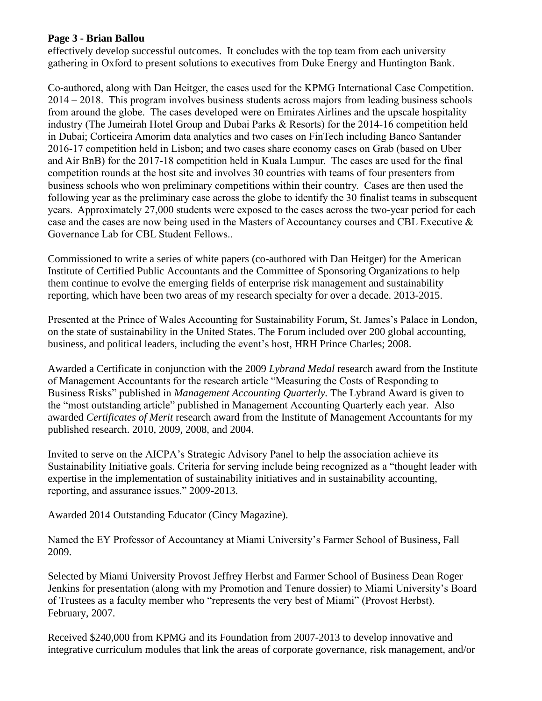## **Page 3 - Brian Ballou**

effectively develop successful outcomes. It concludes with the top team from each university gathering in Oxford to present solutions to executives from Duke Energy and Huntington Bank.

Co-authored, along with Dan Heitger, the cases used for the KPMG International Case Competition. 2014 – 2018. This program involves business students across majors from leading business schools from around the globe. The cases developed were on Emirates Airlines and the upscale hospitality industry (The Jumeirah Hotel Group and Dubai Parks & Resorts) for the 2014-16 competition held in Dubai; Corticeira Amorim data analytics and two cases on FinTech including Banco Santander 2016-17 competition held in Lisbon; and two cases share economy cases on Grab (based on Uber and Air BnB) for the 2017-18 competition held in Kuala Lumpur. The cases are used for the final competition rounds at the host site and involves 30 countries with teams of four presenters from business schools who won preliminary competitions within their country. Cases are then used the following year as the preliminary case across the globe to identify the 30 finalist teams in subsequent years. Approximately 27,000 students were exposed to the cases across the two-year period for each case and the cases are now being used in the Masters of Accountancy courses and CBL Executive & Governance Lab for CBL Student Fellows..

Commissioned to write a series of white papers (co-authored with Dan Heitger) for the American Institute of Certified Public Accountants and the Committee of Sponsoring Organizations to help them continue to evolve the emerging fields of enterprise risk management and sustainability reporting, which have been two areas of my research specialty for over a decade. 2013-2015.

Presented at the Prince of Wales Accounting for Sustainability Forum, St. James's Palace in London, on the state of sustainability in the United States. The Forum included over 200 global accounting, business, and political leaders, including the event's host, HRH Prince Charles; 2008.

Awarded a Certificate in conjunction with the 2009 *Lybrand Medal* research award from the Institute of Management Accountants for the research article "Measuring the Costs of Responding to Business Risks" published in *Management Accounting Quarterly.* The Lybrand Award is given to the "most outstanding article" published in Management Accounting Quarterly each year. Also awarded *Certificates of Merit* research award from the Institute of Management Accountants for my published research. 2010, 2009, 2008, and 2004.

Invited to serve on the AICPA's Strategic Advisory Panel to help the association achieve its Sustainability Initiative goals. Criteria for serving include being recognized as a "thought leader with expertise in the implementation of sustainability initiatives and in sustainability accounting, reporting, and assurance issues." 2009-2013.

Awarded 2014 Outstanding Educator (Cincy Magazine).

Named the EY Professor of Accountancy at Miami University's Farmer School of Business, Fall 2009.

Selected by Miami University Provost Jeffrey Herbst and Farmer School of Business Dean Roger Jenkins for presentation (along with my Promotion and Tenure dossier) to Miami University's Board of Trustees as a faculty member who "represents the very best of Miami" (Provost Herbst). February, 2007.

Received \$240,000 from KPMG and its Foundation from 2007-2013 to develop innovative and integrative curriculum modules that link the areas of corporate governance, risk management, and/or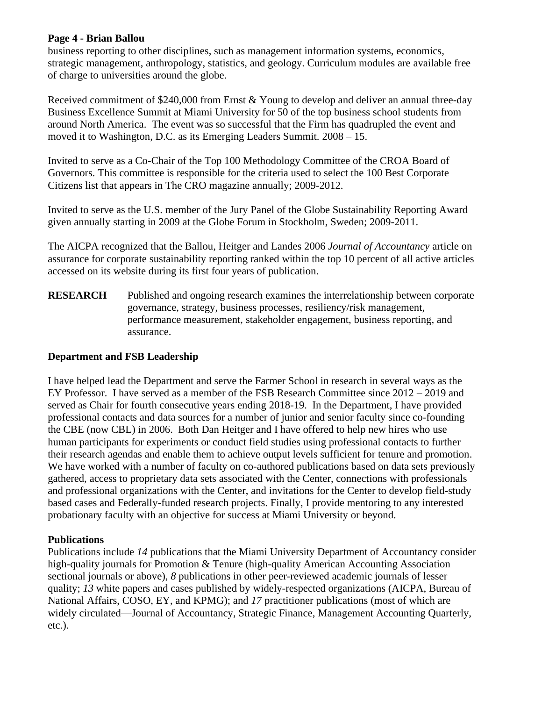## **Page 4 - Brian Ballou**

business reporting to other disciplines, such as management information systems, economics, strategic management, anthropology, statistics, and geology. Curriculum modules are available free of charge to universities around the globe.

Received commitment of \$240,000 from Ernst & Young to develop and deliver an annual three-day Business Excellence Summit at Miami University for 50 of the top business school students from around North America. The event was so successful that the Firm has quadrupled the event and moved it to Washington, D.C. as its Emerging Leaders Summit. 2008 – 15.

Invited to serve as a Co-Chair of the Top 100 Methodology Committee of the CROA Board of Governors. This committee is responsible for the criteria used to select the 100 Best Corporate Citizens list that appears in The CRO magazine annually; 2009-2012.

Invited to serve as the U.S. member of the Jury Panel of the Globe Sustainability Reporting Award given annually starting in 2009 at the Globe Forum in Stockholm, Sweden; 2009-2011.

The AICPA recognized that the Ballou, Heitger and Landes 2006 *Journal of Accountancy* article on assurance for corporate sustainability reporting ranked within the top 10 percent of all active articles accessed on its website during its first four years of publication.

**RESEARCH** Published and ongoing research examines the interrelationship between corporate governance, strategy, business processes, resiliency/risk management, performance measurement, stakeholder engagement, business reporting, and assurance.

### **Department and FSB Leadership**

I have helped lead the Department and serve the Farmer School in research in several ways as the EY Professor. I have served as a member of the FSB Research Committee since 2012 – 2019 and served as Chair for fourth consecutive years ending 2018-19. In the Department, I have provided professional contacts and data sources for a number of junior and senior faculty since co-founding the CBE (now CBL) in 2006. Both Dan Heitger and I have offered to help new hires who use human participants for experiments or conduct field studies using professional contacts to further their research agendas and enable them to achieve output levels sufficient for tenure and promotion. We have worked with a number of faculty on co-authored publications based on data sets previously gathered, access to proprietary data sets associated with the Center, connections with professionals and professional organizations with the Center, and invitations for the Center to develop field-study based cases and Federally-funded research projects. Finally, I provide mentoring to any interested probationary faculty with an objective for success at Miami University or beyond.

## **Publications**

Publications include *14* publications that the Miami University Department of Accountancy consider high-quality journals for Promotion & Tenure (high-quality American Accounting Association sectional journals or above), *8* publications in other peer-reviewed academic journals of lesser quality; *13* white papers and cases published by widely-respected organizations (AICPA, Bureau of National Affairs, COSO, EY, and KPMG); and *17* practitioner publications (most of which are widely circulated—Journal of Accountancy, Strategic Finance, Management Accounting Quarterly, etc.).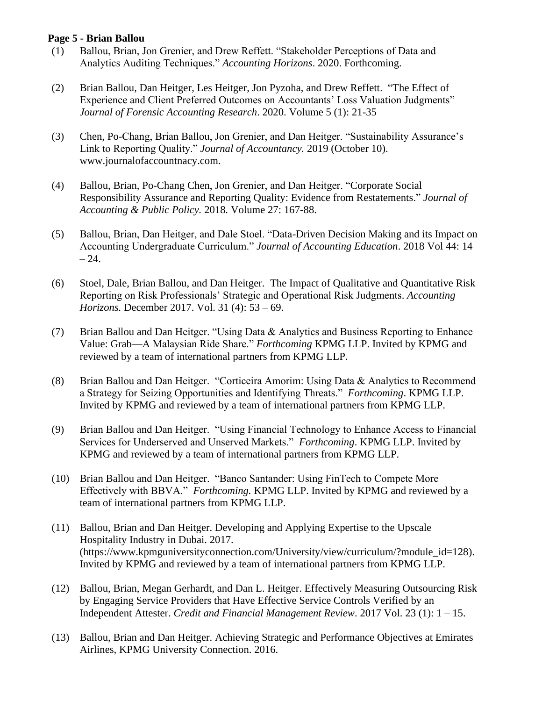### **Page 5 - Brian Ballou**

- (1) Ballou, Brian, Jon Grenier, and Drew Reffett. "Stakeholder Perceptions of Data and Analytics Auditing Techniques." *Accounting Horizons*. 2020. Forthcoming.
- (2) Brian Ballou, Dan Heitger, Les Heitger, Jon Pyzoha, and Drew Reffett. "The Effect of Experience and Client Preferred Outcomes on Accountants' Loss Valuation Judgments" *Journal of Forensic Accounting Research*. 2020. Volume 5 (1): 21-35
- (3) Chen, Po-Chang, Brian Ballou, Jon Grenier, and Dan Heitger. "Sustainability Assurance's Link to Reporting Quality." *Journal of Accountancy.* 2019 (October 10). www.journalofaccountnacy.com.
- (4) Ballou, Brian, Po-Chang Chen, Jon Grenier, and Dan Heitger. "Corporate Social Responsibility Assurance and Reporting Quality: Evidence from Restatements." *Journal of Accounting & Public Policy.* 2018*.* Volume 27: 167-88.
- (5) Ballou, Brian, Dan Heitger, and Dale Stoel. "Data-Driven Decision Making and its Impact on Accounting Undergraduate Curriculum." *Journal of Accounting Education*. 2018 Vol 44: 14  $-24.$
- (6) Stoel, Dale, Brian Ballou, and Dan Heitger. The Impact of Qualitative and Quantitative Risk Reporting on Risk Professionals' Strategic and Operational Risk Judgments. *Accounting Horizons.* December 2017. Vol. 31 (4): 53 – 69.
- (7) Brian Ballou and Dan Heitger. "Using Data & Analytics and Business Reporting to Enhance Value: Grab—A Malaysian Ride Share." *Forthcoming* KPMG LLP. Invited by KPMG and reviewed by a team of international partners from KPMG LLP.
- (8) Brian Ballou and Dan Heitger. "Corticeira Amorim: Using Data & Analytics to Recommend a Strategy for Seizing Opportunities and Identifying Threats." *Forthcoming*. KPMG LLP. Invited by KPMG and reviewed by a team of international partners from KPMG LLP.
- (9) Brian Ballou and Dan Heitger. "Using Financial Technology to Enhance Access to Financial Services for Underserved and Unserved Markets." *Forthcoming*. KPMG LLP. Invited by KPMG and reviewed by a team of international partners from KPMG LLP.
- (10) Brian Ballou and Dan Heitger. "Banco Santander: Using FinTech to Compete More Effectively with BBVA." *Forthcoming.* KPMG LLP. Invited by KPMG and reviewed by a team of international partners from KPMG LLP.
- (11) Ballou, Brian and Dan Heitger. Developing and Applying Expertise to the Upscale Hospitality Industry in Dubai. 2017. (https://www.kpmguniversityconnection.com/University/view/curriculum/?module\_id=128). Invited by KPMG and reviewed by a team of international partners from KPMG LLP.
- (12) Ballou, Brian, Megan Gerhardt, and Dan L. Heitger. Effectively Measuring Outsourcing Risk by Engaging Service Providers that Have Effective Service Controls Verified by an Independent Attester. *Credit and Financial Management Review*. 2017 Vol. 23 (1): 1 – 15.
- (13) Ballou, Brian and Dan Heitger. Achieving Strategic and Performance Objectives at Emirates Airlines, KPMG University Connection. 2016.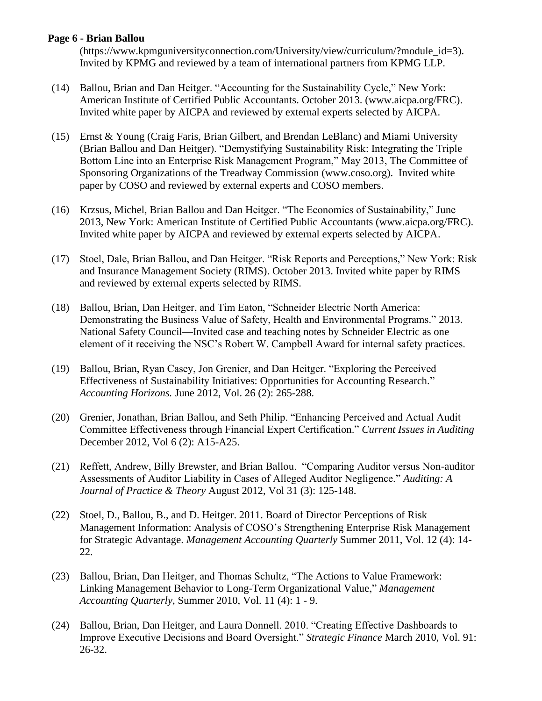### **Page 6 - Brian Ballou**

(https://www.kpmguniversityconnection.com/University/view/curriculum/?module\_id=3). Invited by KPMG and reviewed by a team of international partners from KPMG LLP.

- (14) Ballou, Brian and Dan Heitger. "Accounting for the Sustainability Cycle," New York: American Institute of Certified Public Accountants. October 2013. [\(www.aicpa.org/FRC\).](http://www.aicpa.org/FRC)) Invited white paper by AICPA and reviewed by external experts selected by AICPA.
- (15) Ernst & Young (Craig Faris, Brian Gilbert, and Brendan LeBlanc) and Miami University (Brian Ballou and Dan Heitger). "Demystifying Sustainability Risk: Integrating the Triple Bottom Line into an Enterprise Risk Management Program," May 2013, The Committee of Sponsoring Organizations of the Treadway Commission [\(www.coso.org\).](http://www.coso.org)/) Invited white paper by COSO and reviewed by external experts and COSO members.
- (16) Krzsus, Michel, Brian Ballou and Dan Heitger. "The Economics of Sustainability," June 2013, New York: American Institute of Certified Public Accountants [\(www.aicpa.org/FRC\).](http://www.aicpa.org/FRC)) Invited white paper by AICPA and reviewed by external experts selected by AICPA.
- (17) Stoel, Dale, Brian Ballou, and Dan Heitger. "Risk Reports and Perceptions," New York: Risk and Insurance Management Society (RIMS). October 2013. Invited white paper by RIMS and reviewed by external experts selected by RIMS.
- (18) Ballou, Brian, Dan Heitger, and Tim Eaton, "Schneider Electric North America: Demonstrating the Business Value of Safety, Health and Environmental Programs." 2013. National Safety Council—Invited case and teaching notes by Schneider Electric as one element of it receiving the NSC's Robert W. Campbell Award for internal safety practices.
- (19) Ballou, Brian, Ryan Casey, Jon Grenier, and Dan Heitger. "Exploring the Perceived Effectiveness of Sustainability Initiatives: Opportunities for Accounting Research." *Accounting Horizons.* June 2012, Vol. 26 (2): 265-288.
- (20) Grenier, Jonathan, Brian Ballou, and Seth Philip. "Enhancing Perceived and Actual Audit Committee Effectiveness through Financial Expert Certification." *Current Issues in Auditing* December 2012, Vol 6 (2): A15-A25.
- (21) Reffett, Andrew, Billy Brewster, and Brian Ballou. "Comparing Auditor versus Non-auditor Assessments of Auditor Liability in Cases of Alleged Auditor Negligence." *Auditing: A Journal of Practice & Theory* August 2012, Vol 31 (3): 125-148.
- (22) Stoel, D., Ballou, B., and D. Heitger. 2011. Board of Director Perceptions of Risk Management Information: Analysis of COSO's Strengthening Enterprise Risk Management for Strategic Advantage. *Management Accounting Quarterly* Summer 2011, Vol. 12 (4): 14- 22.
- (23) Ballou, Brian, Dan Heitger, and Thomas Schultz, "The Actions to Value Framework: Linking Management Behavior to Long-Term Organizational Value," *Management Accounting Quarterly*, Summer 2010, Vol. 11 (4): 1 - 9.
- (24) Ballou, Brian, Dan Heitger, and Laura Donnell. 2010. "Creating Effective Dashboards to Improve Executive Decisions and Board Oversight." *Strategic Finance* March 2010, Vol. 91: 26-32.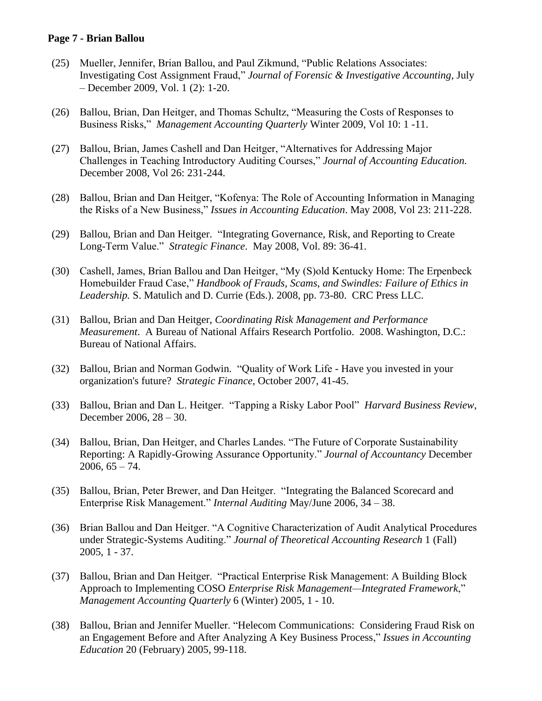### **Page 7 - Brian Ballou**

- (25) Mueller, Jennifer, Brian Ballou, and Paul Zikmund, "Public Relations Associates: Investigating Cost Assignment Fraud," *Journal of Forensic & Investigative Accounting*, July – December 2009, Vol. 1 (2): 1-20.
- (26) Ballou, Brian, Dan Heitger, and Thomas Schultz, "Measuring the Costs of Responses to Business Risks," *Management Accounting Quarterly* Winter 2009, Vol 10: 1 -11.
- (27) Ballou, Brian, James Cashell and Dan Heitger, "Alternatives for Addressing Major Challenges in Teaching Introductory Auditing Courses," *Journal of Accounting Education.* December 2008, Vol 26: 231-244.
- (28) Ballou, Brian and Dan Heitger, "Kofenya: The Role of Accounting Information in Managing the Risks of a New Business," *Issues in Accounting Education*. May 2008, Vol 23: 211-228.
- (29) Ballou, Brian and Dan Heitger. "Integrating Governance, Risk, and Reporting to Create Long-Term Value." *Strategic Finance*. May 2008, Vol. 89: 36-41.
- (30) Cashell, James, Brian Ballou and Dan Heitger, "My (S)old Kentucky Home: The Erpenbeck Homebuilder Fraud Case," *Handbook of Frauds, Scams*, *and Swindles: Failure of Ethics in Leadership.* S. Matulich and D. Currie (Eds.). 2008, pp. 73-80. CRC Press LLC.
- (31) Ballou, Brian and Dan Heitger, *Coordinating Risk Management and Performance Measurement*. A Bureau of National Affairs Research Portfolio. 2008. Washington, D.C.: Bureau of National Affairs.
- (32) Ballou, Brian and Norman Godwin. "Quality of Work Life Have you invested in your organization's future? *Strategic Finance,* October 2007, 41-45.
- (33) Ballou, Brian and Dan L. Heitger. "Tapping a Risky Labor Pool" *Harvard Business Review*, December 2006, 28 – 30.
- (34) Ballou, Brian, Dan Heitger, and Charles Landes. "The Future of Corporate Sustainability Reporting: A Rapidly-Growing Assurance Opportunity." *Journal of Accountancy* December  $2006, 65 - 74.$
- (35) Ballou, Brian, Peter Brewer, and Dan Heitger. "Integrating the Balanced Scorecard and Enterprise Risk Management." *Internal Auditing* May/June 2006, 34 – 38.
- (36) Brian Ballou and Dan Heitger. "A Cognitive Characterization of Audit Analytical Procedures under Strategic-Systems Auditing." *Journal of Theoretical Accounting Research* 1 (Fall) 2005, 1 - 37.
- (37) Ballou, Brian and Dan Heitger. "Practical Enterprise Risk Management: A Building Block Approach to Implementing COSO *Enterprise Risk Management—Integrated Framework*," *Management Accounting Quarterly* 6 (Winter) 2005, 1 - 10.
- (38) Ballou, Brian and Jennifer Mueller. "Helecom Communications: Considering Fraud Risk on an Engagement Before and After Analyzing A Key Business Process," *Issues in Accounting Education* 20 (February) 2005, 99-118.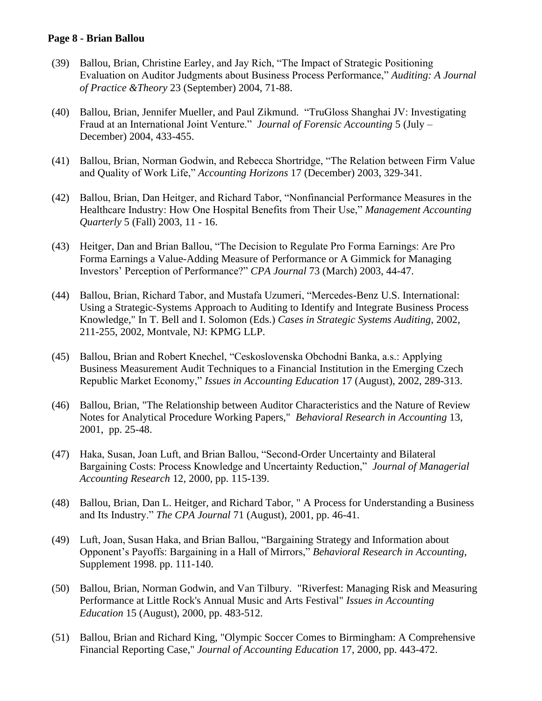### **Page 8 - Brian Ballou**

- (39) Ballou, Brian, Christine Earley, and Jay Rich, "The Impact of Strategic Positioning Evaluation on Auditor Judgments about Business Process Performance," *Auditing: A Journal of Practice &Theory* 23 (September) 2004, 71-88.
- (40) Ballou, Brian, Jennifer Mueller, and Paul Zikmund. "TruGloss Shanghai JV: Investigating Fraud at an International Joint Venture." *Journal of Forensic Accounting* 5 (July – December) 2004, 433-455.
- (41) Ballou, Brian, Norman Godwin, and Rebecca Shortridge, "The Relation between Firm Value and Quality of Work Life," *Accounting Horizons* 17 (December) 2003, 329-341.
- (42) Ballou, Brian, Dan Heitger, and Richard Tabor, "Nonfinancial Performance Measures in the Healthcare Industry: How One Hospital Benefits from Their Use," *Management Accounting Quarterly* 5 (Fall) 2003, 11 - 16.
- (43) Heitger, Dan and Brian Ballou, "The Decision to Regulate Pro Forma Earnings: Are Pro Forma Earnings a Value-Adding Measure of Performance or A Gimmick for Managing Investors' Perception of Performance?" *CPA Journal* 73 (March) 2003, 44-47.
- (44) Ballou, Brian, Richard Tabor, and Mustafa Uzumeri, "Mercedes-Benz U.S. International: Using a Strategic-Systems Approach to Auditing to Identify and Integrate Business Process Knowledge," In T. Bell and I. Solomon (Eds.) *Cases in Strategic Systems Auditing*, 2002, 211-255, 2002, Montvale, NJ: KPMG LLP.
- (45) Ballou, Brian and Robert Knechel, "Ceskoslovenska Obchodni Banka, a.s.: Applying Business Measurement Audit Techniques to a Financial Institution in the Emerging Czech Republic Market Economy," *Issues in Accounting Education* 17 (August), 2002, 289-313.
- (46) Ballou, Brian, "The Relationship between Auditor Characteristics and the Nature of Review Notes for Analytical Procedure Working Papers," *Behavioral Research in Accounting* 13, 2001, pp. 25-48.
- (47) Haka, Susan, Joan Luft, and Brian Ballou, "Second-Order Uncertainty and Bilateral Bargaining Costs: Process Knowledge and Uncertainty Reduction," *Journal of Managerial Accounting Research* 12, 2000, pp. 115-139.
- (48) Ballou, Brian, Dan L. Heitger, and Richard Tabor, " A Process for Understanding a Business and Its Industry." *The CPA Journal* 71 (August), 2001, pp. 46-41.
- (49) Luft, Joan, Susan Haka, and Brian Ballou, "Bargaining Strategy and Information about Opponent's Payoffs: Bargaining in a Hall of Mirrors," *Behavioral Research in Accounting*, Supplement 1998. pp. 111-140.
- (50) Ballou, Brian, Norman Godwin, and Van Tilbury. "Riverfest: Managing Risk and Measuring Performance at Little Rock's Annual Music and Arts Festival" *Issues in Accounting Education* 15 (August), 2000, pp. 483-512.
- (51) Ballou, Brian and Richard King, "Olympic Soccer Comes to Birmingham: A Comprehensive Financial Reporting Case," *Journal of Accounting Education* 17, 2000, pp. 443-472.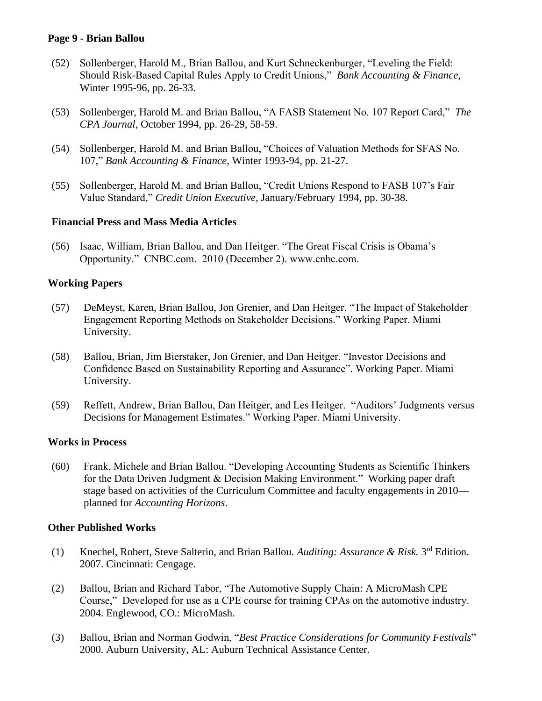### **Page 9 - Brian Ballou**

- (52) Sollenberger, Harold M., Brian Ballou, and Kurt Schneckenburger, "Leveling the Field: Should Risk-Based Capital Rules Apply to Credit Unions," *Bank Accounting & Finance*, Winter 1995-96, pp. 26-33.
- (53) Sollenberger, Harold M. and Brian Ballou, "A FASB Statement No. 107 Report Card," *The CPA Journal*, October 1994, pp. 26-29, 58-59.
- (54) Sollenberger, Harold M. and Brian Ballou, "Choices of Valuation Methods for SFAS No. 107," *Bank Accounting & Finance*, Winter 1993-94, pp. 21-27.
- (55) Sollenberger, Harold M. and Brian Ballou, "Credit Unions Respond to FASB 107's Fair Value Standard," *Credit Union Executive*, January/February 1994, pp. 30-38.

### **Financial Press and Mass Media Articles**

(56) Isaac, William, Brian Ballou, and Dan Heitger. "The Great Fiscal Crisis is Obama's Opportunity." CNBC.com. 2010 (December 2). www.cnbc.com.

### **Working Papers**

- (57) DeMeyst, Karen, Brian Ballou, Jon Grenier, and Dan Heitger. "The Impact of Stakeholder Engagement Reporting Methods on Stakeholder Decisions." Working Paper. Miami University.
- (58) Ballou, Brian, Jim Bierstaker, Jon Grenier, and Dan Heitger. "Investor Decisions and Confidence Based on Sustainability Reporting and Assurance". Working Paper. Miami University.
- (59) Reffett, Andrew, Brian Ballou, Dan Heitger, and Les Heitger. "Auditors' Judgments versus Decisions for Management Estimates." Working Paper. Miami University.

### **Works in Process**

(60) Frank, Michele and Brian Ballou. "Developing Accounting Students as Scientific Thinkers for the Data Driven Judgment & Decision Making Environment." Working paper draft stage based on activities of the Curriculum Committee and faculty engagements in 2010 planned for *Accounting Horizons*.

### **Other Published Works**

- (1) Knechel, Robert, Steve Salterio, and Brian Ballou. *Auditing: Assurance & Risk.* 3 rd Edition. 2007. Cincinnati: Cengage.
- (2) Ballou, Brian and Richard Tabor, "The Automotive Supply Chain: A MicroMash CPE Course," Developed for use as a CPE course for training CPAs on the automotive industry. 2004. Englewood, CO.: MicroMash.
- (3) Ballou, Brian and Norman Godwin, "*Best Practice Considerations for Community Festivals*" 2000. Auburn University, AL: Auburn Technical Assistance Center.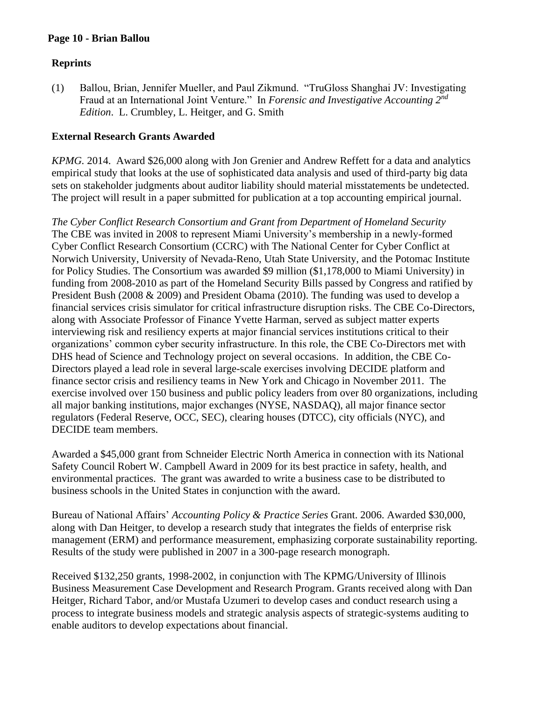### **Page 10 - Brian Ballou**

## **Reprints**

(1) Ballou, Brian, Jennifer Mueller, and Paul Zikmund. "TruGloss Shanghai JV: Investigating Fraud at an International Joint Venture." In *Forensic and Investigative Accounting 2nd Edition*. L. Crumbley, L. Heitger, and G. Smith

### **External Research Grants Awarded**

*KPMG.* 2014. Award \$26,000 along with Jon Grenier and Andrew Reffett for a data and analytics empirical study that looks at the use of sophisticated data analysis and used of third-party big data sets on stakeholder judgments about auditor liability should material misstatements be undetected. The project will result in a paper submitted for publication at a top accounting empirical journal.

*The Cyber Conflict Research Consortium and Grant from Department of Homeland Security* The CBE was invited in 2008 to represent Miami University's membership in a newly-formed Cyber Conflict Research Consortium (CCRC) with The National Center for Cyber Conflict at Norwich University, University of Nevada-Reno, Utah State University, and the Potomac Institute for Policy Studies. The Consortium was awarded \$9 million (\$1,178,000 to Miami University) in funding from 2008-2010 as part of the Homeland Security Bills passed by Congress and ratified by President Bush (2008 & 2009) and President Obama (2010). The funding was used to develop a financial services crisis simulator for critical infrastructure disruption risks. The CBE Co-Directors, along with Associate Professor of Finance Yvette Harman, served as subject matter experts interviewing risk and resiliency experts at major financial services institutions critical to their organizations' common cyber security infrastructure. In this role, the CBE Co-Directors met with DHS head of Science and Technology project on several occasions. In addition, the CBE Co-Directors played a lead role in several large-scale exercises involving DECIDE platform and finance sector crisis and resiliency teams in New York and Chicago in November 2011. The exercise involved over 150 business and public policy leaders from over 80 organizations, including all major banking institutions, major exchanges (NYSE, NASDAQ), all major finance sector regulators (Federal Reserve, OCC, SEC), clearing houses (DTCC), city officials (NYC), and DECIDE team members.

Awarded a \$45,000 grant from Schneider Electric North America in connection with its National Safety Council Robert W. Campbell Award in 2009 for its best practice in safety, health, and environmental practices. The grant was awarded to write a business case to be distributed to business schools in the United States in conjunction with the award.

Bureau of National Affairs' *Accounting Policy & Practice Series* Grant. 2006. Awarded \$30,000, along with Dan Heitger, to develop a research study that integrates the fields of enterprise risk management (ERM) and performance measurement, emphasizing corporate sustainability reporting. Results of the study were published in 2007 in a 300-page research monograph.

Received \$132,250 grants, 1998-2002, in conjunction with The KPMG/University of Illinois Business Measurement Case Development and Research Program. Grants received along with Dan Heitger, Richard Tabor, and/or Mustafa Uzumeri to develop cases and conduct research using a process to integrate business models and strategic analysis aspects of strategic-systems auditing to enable auditors to develop expectations about financial.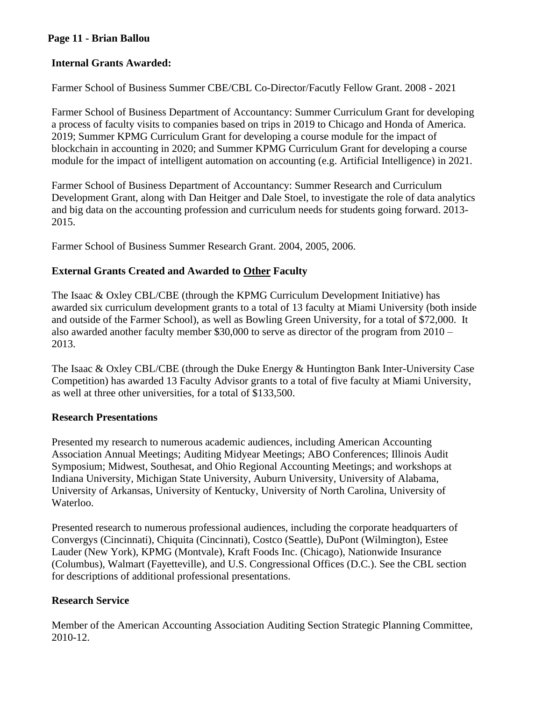## **Page 11 - Brian Ballou**

## **Internal Grants Awarded:**

Farmer School of Business Summer CBE/CBL Co-Director/Facutly Fellow Grant. 2008 - 2021

Farmer School of Business Department of Accountancy: Summer Curriculum Grant for developing a process of faculty visits to companies based on trips in 2019 to Chicago and Honda of America. 2019; Summer KPMG Curriculum Grant for developing a course module for the impact of blockchain in accounting in 2020; and Summer KPMG Curriculum Grant for developing a course module for the impact of intelligent automation on accounting (e.g. Artificial Intelligence) in 2021.

Farmer School of Business Department of Accountancy: Summer Research and Curriculum Development Grant, along with Dan Heitger and Dale Stoel, to investigate the role of data analytics and big data on the accounting profession and curriculum needs for students going forward. 2013- 2015.

Farmer School of Business Summer Research Grant. 2004, 2005, 2006.

# **External Grants Created and Awarded to Other Faculty**

The Isaac & Oxley CBL/CBE (through the KPMG Curriculum Development Initiative) has awarded six curriculum development grants to a total of 13 faculty at Miami University (both inside and outside of the Farmer School), as well as Bowling Green University, for a total of \$72,000. It also awarded another faculty member \$30,000 to serve as director of the program from 2010 – 2013.

The Isaac & Oxley CBL/CBE (through the Duke Energy & Huntington Bank Inter-University Case Competition) has awarded 13 Faculty Advisor grants to a total of five faculty at Miami University, as well at three other universities, for a total of \$133,500.

## **Research Presentations**

Presented my research to numerous academic audiences, including American Accounting Association Annual Meetings; Auditing Midyear Meetings; ABO Conferences; Illinois Audit Symposium; Midwest, Southesat, and Ohio Regional Accounting Meetings; and workshops at Indiana University, Michigan State University, Auburn University, University of Alabama, University of Arkansas, University of Kentucky, University of North Carolina, University of Waterloo.

Presented research to numerous professional audiences, including the corporate headquarters of Convergys (Cincinnati), Chiquita (Cincinnati), Costco (Seattle), DuPont (Wilmington), Estee Lauder (New York), KPMG (Montvale), Kraft Foods Inc. (Chicago), Nationwide Insurance (Columbus), Walmart (Fayetteville), and U.S. Congressional Offices (D.C.). See the CBL section for descriptions of additional professional presentations.

## **Research Service**

Member of the American Accounting Association Auditing Section Strategic Planning Committee, 2010-12.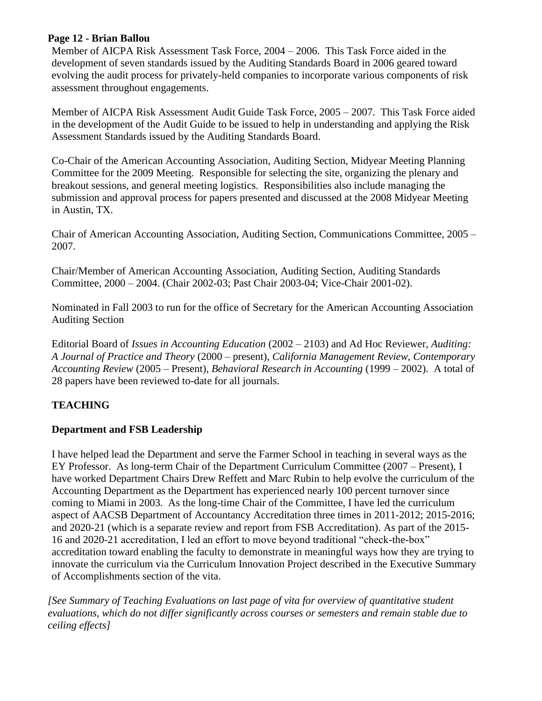### **Page 12 - Brian Ballou**

Member of AICPA Risk Assessment Task Force, 2004 – 2006. This Task Force aided in the development of seven standards issued by the Auditing Standards Board in 2006 geared toward evolving the audit process for privately-held companies to incorporate various components of risk assessment throughout engagements.

Member of AICPA Risk Assessment Audit Guide Task Force, 2005 – 2007. This Task Force aided in the development of the Audit Guide to be issued to help in understanding and applying the Risk Assessment Standards issued by the Auditing Standards Board.

Co-Chair of the American Accounting Association, Auditing Section, Midyear Meeting Planning Committee for the 2009 Meeting. Responsible for selecting the site, organizing the plenary and breakout sessions, and general meeting logistics. Responsibilities also include managing the submission and approval process for papers presented and discussed at the 2008 Midyear Meeting in Austin, TX.

Chair of American Accounting Association, Auditing Section, Communications Committee, 2005 – 2007.

Chair/Member of American Accounting Association, Auditing Section, Auditing Standards Committee, 2000 – 2004. (Chair 2002-03; Past Chair 2003-04; Vice-Chair 2001-02).

Nominated in Fall 2003 to run for the office of Secretary for the American Accounting Association Auditing Section

Editorial Board of *Issues in Accounting Education* (2002 – 2103) and Ad Hoc Reviewer, *Auditing: A Journal of Practice and Theory* (2000 – present), *California Management Review, Contemporary Accounting Review* (2005 – Present), *Behavioral Research in Accounting* (1999 – 2002). A total of 28 papers have been reviewed to-date for all journals.

# **TEACHING**

## **Department and FSB Leadership**

I have helped lead the Department and serve the Farmer School in teaching in several ways as the EY Professor. As long-term Chair of the Department Curriculum Committee (2007 – Present), I have worked Department Chairs Drew Reffett and Marc Rubin to help evolve the curriculum of the Accounting Department as the Department has experienced nearly 100 percent turnover since coming to Miami in 2003. As the long-time Chair of the Committee, I have led the curriculum aspect of AACSB Department of Accountancy Accreditation three times in 2011-2012; 2015-2016; and 2020-21 (which is a separate review and report from FSB Accreditation). As part of the 2015- 16 and 2020-21 accreditation, I led an effort to move beyond traditional "check-the-box" accreditation toward enabling the faculty to demonstrate in meaningful ways how they are trying to innovate the curriculum via the Curriculum Innovation Project described in the Executive Summary of Accomplishments section of the vita.

*[See Summary of Teaching Evaluations on last page of vita for overview of quantitative student evaluations, which do not differ significantly across courses or semesters and remain stable due to ceiling effects]*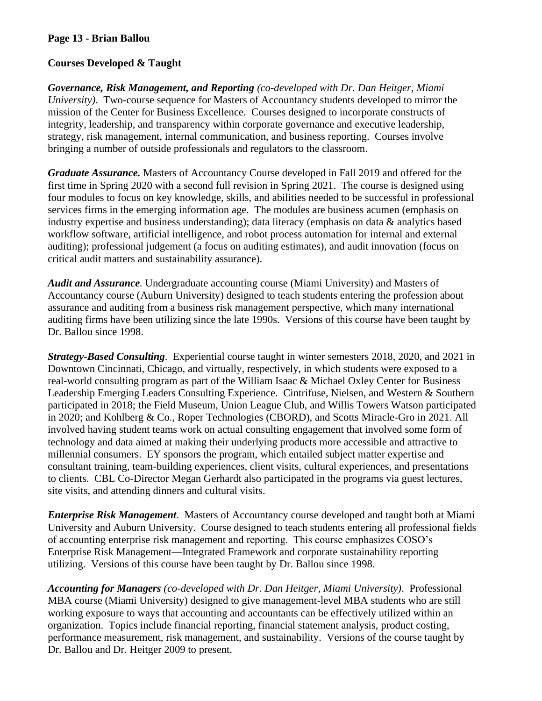## **Page 13 - Brian Ballou**

## **Courses Developed & Taught**

*Governance, Risk Management, and Reporting (co-developed with Dr. Dan Heitger, Miami University)*. Two-course sequence for Masters of Accountancy students developed to mirror the mission of the Center for Business Excellence. Courses designed to incorporate constructs of integrity, leadership, and transparency within corporate governance and executive leadership, strategy, risk management, internal communication, and business reporting. Courses involve bringing a number of outside professionals and regulators to the classroom.

*Graduate Assurance.* Masters of Accountancy Course developed in Fall 2019 and offered for the first time in Spring 2020 with a second full revision in Spring 2021. The course is designed using four modules to focus on key knowledge, skills, and abilities needed to be successful in professional services firms in the emerging information age. The modules are business acumen (emphasis on industry expertise and business understanding); data literacy (emphasis on data & analytics based workflow software, artificial intelligence, and robot process automation for internal and external auditing); professional judgement (a focus on auditing estimates), and audit innovation (focus on critical audit matters and sustainability assurance).

*Audit and Assurance.* Undergraduate accounting course (Miami University) and Masters of Accountancy course (Auburn University) designed to teach students entering the profession about assurance and auditing from a business risk management perspective, which many international auditing firms have been utilizing since the late 1990s. Versions of this course have been taught by Dr. Ballou since 1998.

*Strategy-Based Consulting*. Experiential course taught in winter semesters 2018, 2020, and 2021 in Downtown Cincinnati, Chicago, and virtually, respectively, in which students were exposed to a real-world consulting program as part of the William Isaac & Michael Oxley Center for Business Leadership Emerging Leaders Consulting Experience. Cintrifuse, Nielsen, and Western & Southern participated in 2018; the Field Museum, Union League Club, and Willis Towers Watson participated in 2020; and Kohlberg & Co., Roper Technologies (CBORD), and Scotts Miracle-Gro in 2021. All involved having student teams work on actual consulting engagement that involved some form of technology and data aimed at making their underlying products more accessible and attractive to millennial consumers. EY sponsors the program, which entailed subject matter expertise and consultant training, team-building experiences, client visits, cultural experiences, and presentations to clients. CBL Co-Director Megan Gerhardt also participated in the programs via guest lectures, site visits, and attending dinners and cultural visits.

*Enterprise Risk Management*. Masters of Accountancy course developed and taught both at Miami University and Auburn University. Course designed to teach students entering all professional fields of accounting enterprise risk management and reporting. This course emphasizes COSO's Enterprise Risk Management—Integrated Framework and corporate sustainability reporting utilizing. Versions of this course have been taught by Dr. Ballou since 1998.

*Accounting for Managers (co-developed with Dr. Dan Heitger, Miami University)*. Professional MBA course (Miami University) designed to give management-level MBA students who are still working exposure to ways that accounting and accountants can be effectively utilized within an organization. Topics include financial reporting, financial statement analysis, product costing, performance measurement, risk management, and sustainability. Versions of the course taught by Dr. Ballou and Dr. Heitger 2009 to present.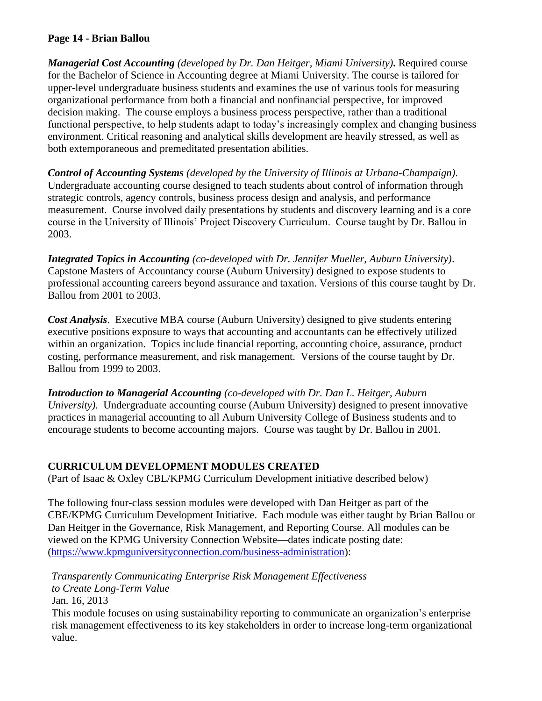## **Page 14 - Brian Ballou**

*Managerial Cost Accounting (developed by Dr. Dan Heitger, Miami University)***.** Required course for the Bachelor of Science in Accounting degree at Miami University. The course is tailored for upper-level undergraduate business students and examines the use of various tools for measuring organizational performance from both a financial and nonfinancial perspective, for improved decision making. The course employs a business process perspective, rather than a traditional functional perspective, to help students adapt to today's increasingly complex and changing business environment. Critical reasoning and analytical skills development are heavily stressed, as well as both extemporaneous and premeditated presentation abilities.

*Control of Accounting Systems (developed by the University of Illinois at Urbana-Champaign)*. Undergraduate accounting course designed to teach students about control of information through strategic controls, agency controls, business process design and analysis, and performance measurement. Course involved daily presentations by students and discovery learning and is a core course in the University of Illinois' Project Discovery Curriculum. Course taught by Dr. Ballou in 2003.

*Integrated Topics in Accounting (co-developed with Dr. Jennifer Mueller, Auburn University)*. Capstone Masters of Accountancy course (Auburn University) designed to expose students to professional accounting careers beyond assurance and taxation. Versions of this course taught by Dr. Ballou from 2001 to 2003.

*Cost Analysis*. Executive MBA course (Auburn University) designed to give students entering executive positions exposure to ways that accounting and accountants can be effectively utilized within an organization. Topics include financial reporting, accounting choice, assurance, product costing, performance measurement, and risk management. Versions of the course taught by Dr. Ballou from 1999 to 2003.

*Introduction to Managerial Accounting (co-developed with Dr. Dan L. Heitger, Auburn University).* Undergraduate accounting course (Auburn University) designed to present innovative practices in managerial accounting to all Auburn University College of Business students and to encourage students to become accounting majors. Course was taught by Dr. Ballou in 2001.

## **CURRICULUM DEVELOPMENT MODULES CREATED**

(Part of Isaac & Oxley CBL/KPMG Curriculum Development initiative described below)

The following four-class session modules were developed with Dan Heitger as part of the CBE/KPMG Curriculum Development Initiative. Each module was either taught by Brian Ballou or Dan Heitger in the Governance, Risk Management, and Reporting Course. All modules can be viewed on the KPMG University Connection Website—dates indicate posting date: (https://www.kpmguniversityconnection.com/business-administration):

*Transparently Communicating Enterprise Risk Management Effectiveness* 

*to Create Long-Term Value*

Jan. 16, 2013

This module focuses on using sustainability reporting to communicate an organization's enterprise risk management effectiveness to its key stakeholders in order to increase long-term organizational value.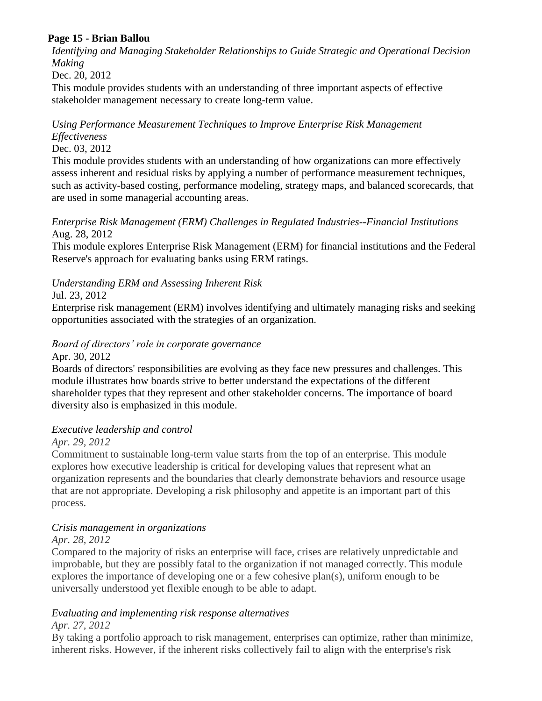# **Page 15 - Brian Ballou**

*[Identifying and Managing Stakeholder Relationships to Guide Strategic and Operational Decision](http://www.kpmguniversityconnection.com/Advisory/CurriculumSupport/Cases/IntegratedCurriculumModules/cbe-module08.aspx)  [Making](http://www.kpmguniversityconnection.com/Advisory/CurriculumSupport/Cases/IntegratedCurriculumModules/cbe-module08.aspx)*

Dec. 20, 2012

This module provides students with an understanding of three important aspects of effective stakeholder management necessary to create long-term value.

# *[Using Performance Measurement Techniques to Improve Enterprise Risk Management](http://www.kpmguniversityconnection.com/Advisory/CurriculumSupport/Cases/IntegratedCurriculumModules/cbe-module07.aspx)  [Effectiveness](http://www.kpmguniversityconnection.com/Advisory/CurriculumSupport/Cases/IntegratedCurriculumModules/cbe-module07.aspx)*

Dec. 03, 2012

This module provides students with an understanding of how organizations can more effectively assess inherent and residual risks by applying a number of performance measurement techniques, such as activity-based costing, performance modeling, strategy maps, and balanced scorecards, that are used in some managerial accounting areas.

### *[Enterprise Risk Management \(ERM\) Challenges in Regulated Industries--Financial Institutions](http://www.kpmguniversityconnection.com/Advisory/CurriculumSupport/Cases/IntegratedCurriculumModules/cbe-module05.aspx)* Aug. 28, 2012

This module explores Enterprise Risk Management (ERM) for financial institutions and the Federal Reserve's approach for evaluating banks using ERM ratings.

# *[Understanding ERM and Assessing Inherent Risk](http://www.kpmguniversityconnection.com/Advisory/CurriculumSupport/Cases/IntegratedCurriculumModules/cbe-module04.aspx)*

Jul. 23, 2012

Enterprise risk management (ERM) involves identifying and ultimately managing risks and seeking opportunities associated with the strategies of an organization.

#### *[Board of directors' role in corporate governance](http://www.kpmguniversityconnection.com/Advisory/CurriculumSupport/Cases/IntegratedCurriculumModules/cbe-module01.aspx)* Apr. 30, 2012

Boards of directors' responsibilities are evolving as they face new pressures and challenges. This module illustrates how boards strive to better understand the expectations of the different shareholder types that they represent and other stakeholder concerns. The importance of board diversity also is emphasized in this module.

## *[Executive leadership and control](http://www.kpmguniversityconnection.com/Advisory/CurriculumSupport/Cases/IntegratedCurriculumModules/cbe-module02.aspx)*

## *Apr. 29, 2012*

Commitment to sustainable long-term value starts from the top of an enterprise. This module explores how executive leadership is critical for developing values that represent what an organization represents and the boundaries that clearly demonstrate behaviors and resource usage that are not appropriate. Developing a risk philosophy and appetite is an important part of this process.

# *[Crisis management in organizations](http://www.kpmguniversityconnection.com/Advisory/CurriculumSupport/Cases/IntegratedCurriculumModules/cbe-module03.aspx)*

## *Apr. 28, 2012*

Compared to the majority of risks an enterprise will face, crises are relatively unpredictable and improbable, but they are possibly fatal to the organization if not managed correctly. This module explores the importance of developing one or a few cohesive plan(s), uniform enough to be universally understood yet flexible enough to be able to adapt.

### *[Evaluating and implementing risk response alternatives](http://www.kpmguniversityconnection.com/Advisory/CurriculumSupport/Cases/IntegratedCurriculumModules/cbe-module06.aspx) Apr. 27, 2012*

By taking a portfolio approach to risk management, enterprises can optimize, rather than minimize, inherent risks. However, if the inherent risks collectively fail to align with the enterprise's risk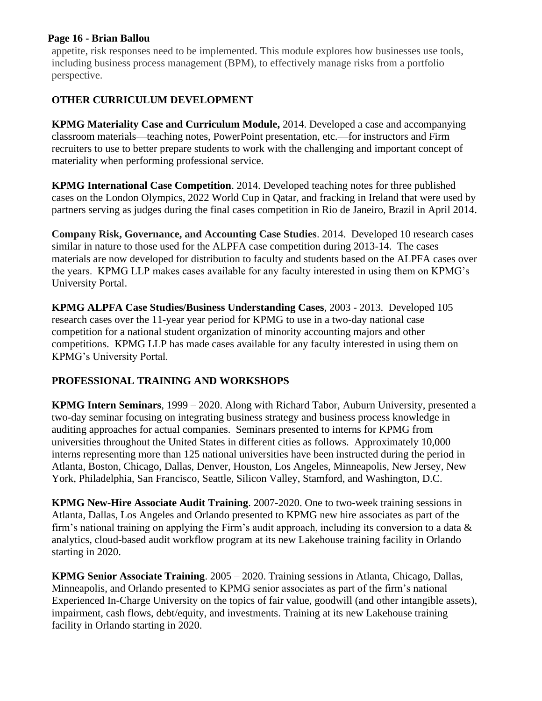### **Page 16 - Brian Ballou**

appetite, risk responses need to be implemented. This module explores how businesses use tools, including business process management (BPM), to effectively manage risks from a portfolio perspective.

# **OTHER CURRICULUM DEVELOPMENT**

**KPMG Materiality Case and Curriculum Module,** 2014. Developed a case and accompanying classroom materials—teaching notes, PowerPoint presentation, etc.—for instructors and Firm recruiters to use to better prepare students to work with the challenging and important concept of materiality when performing professional service.

**KPMG International Case Competition**. 2014. Developed teaching notes for three published cases on the London Olympics, 2022 World Cup in Qatar, and fracking in Ireland that were used by partners serving as judges during the final cases competition in Rio de Janeiro, Brazil in April 2014.

**Company Risk, Governance, and Accounting Case Studies**. 2014. Developed 10 research cases similar in nature to those used for the ALPFA case competition during 2013-14. The cases materials are now developed for distribution to faculty and students based on the ALPFA cases over the years. KPMG LLP makes cases available for any faculty interested in using them on KPMG's University Portal.

**KPMG ALPFA Case Studies/Business Understanding Cases**, 2003 - 2013. Developed 105 research cases over the 11-year year period for KPMG to use in a two-day national case competition for a national student organization of minority accounting majors and other competitions. KPMG LLP has made cases available for any faculty interested in using them on KPMG's University Portal.

# **PROFESSIONAL TRAINING AND WORKSHOPS**

**KPMG Intern Seminars**, 1999 – 2020. Along with Richard Tabor, Auburn University, presented a two-day seminar focusing on integrating business strategy and business process knowledge in auditing approaches for actual companies. Seminars presented to interns for KPMG from universities throughout the United States in different cities as follows. Approximately 10,000 interns representing more than 125 national universities have been instructed during the period in Atlanta, Boston, Chicago, Dallas, Denver, Houston, Los Angeles, Minneapolis, New Jersey, New York, Philadelphia, San Francisco, Seattle, Silicon Valley, Stamford, and Washington, D.C.

**KPMG New-Hire Associate Audit Training**. 2007-2020. One to two-week training sessions in Atlanta, Dallas, Los Angeles and Orlando presented to KPMG new hire associates as part of the firm's national training on applying the Firm's audit approach, including its conversion to a data  $\&$ analytics, cloud-based audit workflow program at its new Lakehouse training facility in Orlando starting in 2020.

**KPMG Senior Associate Training**. 2005 – 2020. Training sessions in Atlanta, Chicago, Dallas, Minneapolis, and Orlando presented to KPMG senior associates as part of the firm's national Experienced In-Charge University on the topics of fair value, goodwill (and other intangible assets), impairment, cash flows, debt/equity, and investments. Training at its new Lakehouse training facility in Orlando starting in 2020.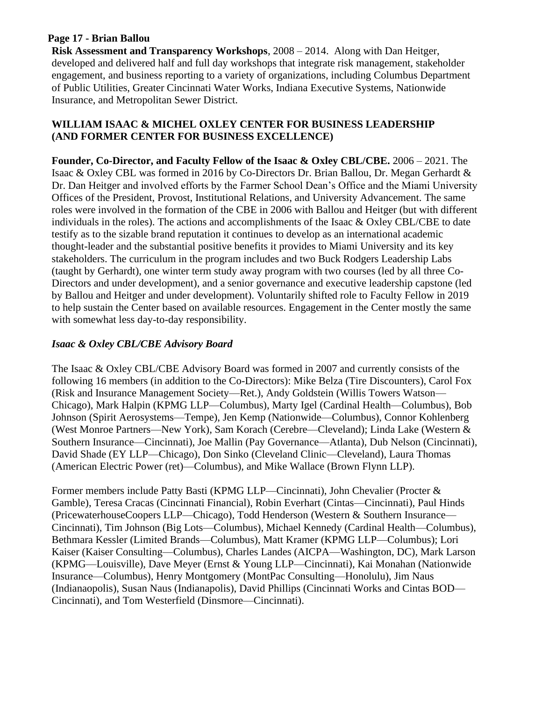## **Page 17 - Brian Ballou**

**Risk Assessment and Transparency Workshops**, 2008 – 2014. Along with Dan Heitger, developed and delivered half and full day workshops that integrate risk management, stakeholder engagement, and business reporting to a variety of organizations, including Columbus Department of Public Utilities, Greater Cincinnati Water Works, Indiana Executive Systems, Nationwide Insurance, and Metropolitan Sewer District.

### **WILLIAM ISAAC & MICHEL OXLEY CENTER FOR BUSINESS LEADERSHIP (AND FORMER CENTER FOR BUSINESS EXCELLENCE)**

**Founder, Co-Director, and Faculty Fellow of the Isaac & Oxley CBL/CBE.** 2006 – 2021. The Isaac & Oxley CBL was formed in 2016 by Co-Directors Dr. Brian Ballou, Dr. Megan Gerhardt & Dr. Dan Heitger and involved efforts by the Farmer School Dean's Office and the Miami University Offices of the President, Provost, Institutional Relations, and University Advancement. The same roles were involved in the formation of the CBE in 2006 with Ballou and Heitger (but with different individuals in the roles). The actions and accomplishments of the Isaac & Oxley CBL/CBE to date testify as to the sizable brand reputation it continues to develop as an international academic thought-leader and the substantial positive benefits it provides to Miami University and its key stakeholders. The curriculum in the program includes and two Buck Rodgers Leadership Labs (taught by Gerhardt), one winter term study away program with two courses (led by all three Co-Directors and under development), and a senior governance and executive leadership capstone (led by Ballou and Heitger and under development). Voluntarily shifted role to Faculty Fellow in 2019 to help sustain the Center based on available resources. Engagement in the Center mostly the same with somewhat less day-to-day responsibility.

### *Isaac & Oxley CBL/CBE Advisory Board*

The Isaac & Oxley CBL/CBE Advisory Board was formed in 2007 and currently consists of the following 16 members (in addition to the Co-Directors): Mike Belza (Tire Discounters), Carol Fox (Risk and Insurance Management Society—Ret.), Andy Goldstein (Willis Towers Watson— Chicago), Mark Halpin (KPMG LLP—Columbus), Marty Igel (Cardinal Health—Columbus), Bob Johnson (Spirit Aerosystems—Tempe), Jen Kemp (Nationwide—Columbus), Connor Kohlenberg (West Monroe Partners—New York), Sam Korach (Cerebre—Cleveland); Linda Lake (Western & Southern Insurance—Cincinnati), Joe Mallin (Pay Governance—Atlanta), Dub Nelson (Cincinnati), David Shade (EY LLP—Chicago), Don Sinko (Cleveland Clinic—Cleveland), Laura Thomas (American Electric Power (ret)—Columbus), and Mike Wallace (Brown Flynn LLP).

Former members include Patty Basti (KPMG LLP—Cincinnati), John Chevalier (Procter & Gamble), Teresa Cracas (Cincinnati Financial), Robin Everhart (Cintas—Cincinnati), Paul Hinds (PricewaterhouseCoopers LLP—Chicago), Todd Henderson (Western & Southern Insurance— Cincinnati), Tim Johnson (Big Lots—Columbus), Michael Kennedy (Cardinal Health—Columbus), Bethmara Kessler (Limited Brands—Columbus), Matt Kramer (KPMG LLP—Columbus); Lori Kaiser (Kaiser Consulting—Columbus), Charles Landes (AICPA—Washington, DC), Mark Larson (KPMG—Louisville), Dave Meyer (Ernst & Young LLP—Cincinnati), Kai Monahan (Nationwide Insurance—Columbus), Henry Montgomery (MontPac Consulting—Honolulu), Jim Naus (Indianaopolis), Susan Naus (Indianapolis), David Phillips (Cincinnati Works and Cintas BOD— Cincinnati), and Tom Westerfield (Dinsmore—Cincinnati).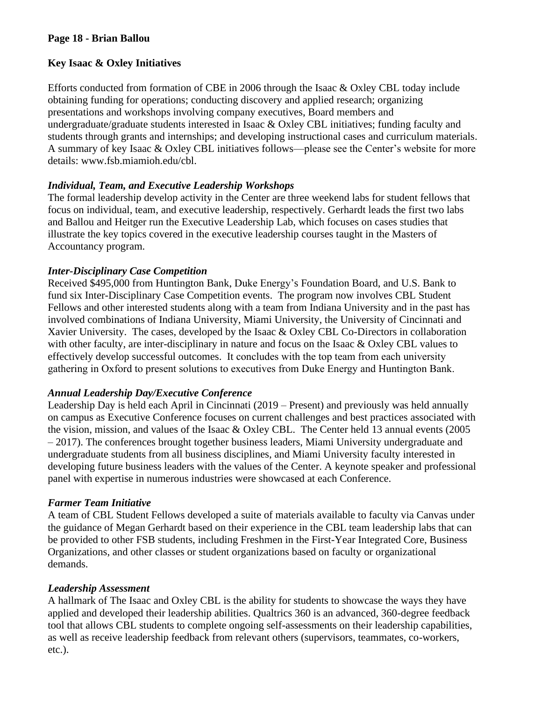## **Page 18 - Brian Ballou**

# **Key Isaac & Oxley Initiatives**

Efforts conducted from formation of CBE in 2006 through the Isaac & Oxley CBL today include obtaining funding for operations; conducting discovery and applied research; organizing presentations and workshops involving company executives, Board members and undergraduate/graduate students interested in Isaac & Oxley CBL initiatives; funding faculty and students through grants and internships; and developing instructional cases and curriculum materials. A summary of key Isaac & Oxley CBL initiatives follows—please see the Center's website for more details: www.fsb.miamioh.edu/cbl.

# *Individual, Team, and Executive Leadership Workshops*

The formal leadership develop activity in the Center are three weekend labs for student fellows that focus on individual, team, and executive leadership, respectively. Gerhardt leads the first two labs and Ballou and Heitger run the Executive Leadership Lab, which focuses on cases studies that illustrate the key topics covered in the executive leadership courses taught in the Masters of Accountancy program.

# *Inter-Disciplinary Case Competition*

Received \$495,000 from Huntington Bank, Duke Energy's Foundation Board, and U.S. Bank to fund six Inter-Disciplinary Case Competition events. The program now involves CBL Student Fellows and other interested students along with a team from Indiana University and in the past has involved combinations of Indiana University, Miami University, the University of Cincinnati and Xavier University. The cases, developed by the Isaac & Oxley CBL Co-Directors in collaboration with other faculty, are inter-disciplinary in nature and focus on the Isaac & Oxley CBL values to effectively develop successful outcomes. It concludes with the top team from each university gathering in Oxford to present solutions to executives from Duke Energy and Huntington Bank.

## *Annual Leadership Day/Executive Conference*

Leadership Day is held each April in Cincinnati (2019 – Present) and previously was held annually on campus as Executive Conference focuses on current challenges and best practices associated with the vision, mission, and values of the Isaac & Oxley CBL. The Center held 13 annual events (2005 – 2017). The conferences brought together business leaders, Miami University undergraduate and undergraduate students from all business disciplines, and Miami University faculty interested in developing future business leaders with the values of the Center. A keynote speaker and professional panel with expertise in numerous industries were showcased at each Conference.

## *Farmer Team Initiative*

A team of CBL Student Fellows developed a suite of materials available to faculty via Canvas under the guidance of Megan Gerhardt based on their experience in the CBL team leadership labs that can be provided to other FSB students, including Freshmen in the First-Year Integrated Core, Business Organizations, and other classes or student organizations based on faculty or organizational demands.

## *Leadership Assessment*

A hallmark of The Isaac and Oxley CBL is the ability for students to showcase the ways they have applied and developed their leadership abilities. Qualtrics 360 is an advanced, 360-degree feedback tool that allows CBL students to complete ongoing self-assessments on their leadership capabilities, as well as receive leadership feedback from relevant others (supervisors, teammates, co-workers, etc.).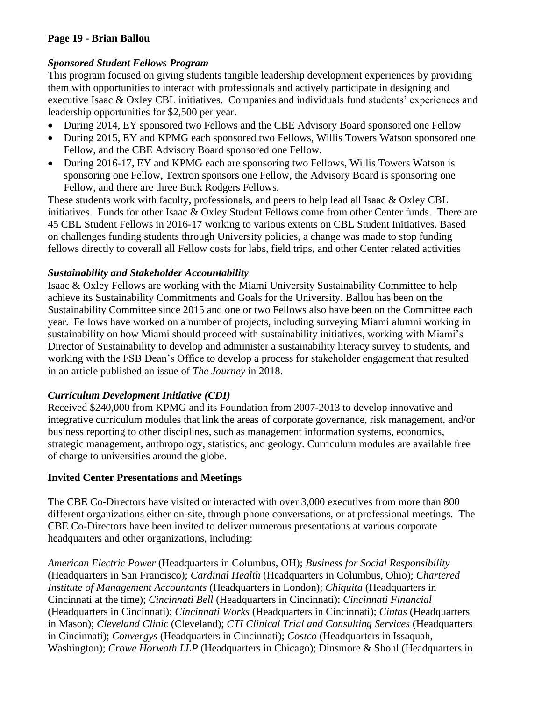# **Page 19 - Brian Ballou**

## *Sponsored Student Fellows Program*

This program focused on giving students tangible leadership development experiences by providing them with opportunities to interact with professionals and actively participate in designing and executive Isaac & Oxley CBL initiatives. Companies and individuals fund students' experiences and leadership opportunities for \$2,500 per year.

- During 2014, EY sponsored two Fellows and the CBE Advisory Board sponsored one Fellow
- During 2015, EY and KPMG each sponsored two Fellows, Willis Towers Watson sponsored one Fellow, and the CBE Advisory Board sponsored one Fellow.
- During 2016-17, EY and KPMG each are sponsoring two Fellows, Willis Towers Watson is sponsoring one Fellow, Textron sponsors one Fellow, the Advisory Board is sponsoring one Fellow, and there are three Buck Rodgers Fellows*.*

These students work with faculty, professionals, and peers to help lead all Isaac & Oxley CBL initiatives. Funds for other Isaac & Oxley Student Fellows come from other Center funds. There are 45 CBL Student Fellows in 2016-17 working to various extents on CBL Student Initiatives. Based on challenges funding students through University policies, a change was made to stop funding fellows directly to coverall all Fellow costs for labs, field trips, and other Center related activities

## *Sustainability and Stakeholder Accountability*

Isaac & Oxley Fellows are working with the Miami University Sustainability Committee to help achieve its Sustainability Commitments and Goals for the University. Ballou has been on the Sustainability Committee since 2015 and one or two Fellows also have been on the Committee each year. Fellows have worked on a number of projects, including surveying Miami alumni working in sustainability on how Miami should proceed with sustainability initiatives, working with Miami's Director of Sustainability to develop and administer a sustainability literacy survey to students, and working with the FSB Dean's Office to develop a process for stakeholder engagement that resulted in an article published an issue of *The Journey* in 2018.

## *Curriculum Development Initiative (CDI)*

Received \$240,000 from KPMG and its Foundation from 2007-2013 to develop innovative and integrative curriculum modules that link the areas of corporate governance, risk management, and/or business reporting to other disciplines, such as management information systems, economics, strategic management, anthropology, statistics, and geology. Curriculum modules are available free of charge to universities around the globe.

# **Invited Center Presentations and Meetings**

The CBE Co-Directors have visited or interacted with over 3,000 executives from more than 800 different organizations either on-site, through phone conversations, or at professional meetings. The CBE Co-Directors have been invited to deliver numerous presentations at various corporate headquarters and other organizations, including:

*American Electric Power* (Headquarters in Columbus, OH); *Business for Social Responsibility* (Headquarters in San Francisco); *Cardinal Health* (Headquarters in Columbus, Ohio); *Chartered Institute of Management Accountants* (Headquarters in London); *Chiquita* (Headquarters in Cincinnati at the time); *Cincinnati Bell* (Headquarters in Cincinnati); *Cincinnati Financial* (Headquarters in Cincinnati); *Cincinnati Works* (Headquarters in Cincinnati); *Cintas* (Headquarters in Mason); *Cleveland Clinic* (Cleveland); *CTI Clinical Trial and Consulting Services* (Headquarters in Cincinnati); *Convergys* (Headquarters in Cincinnati); *Costco* (Headquarters in Issaquah, Washington); *Crowe Horwath LLP* (Headquarters in Chicago); Dinsmore & Shohl (Headquarters in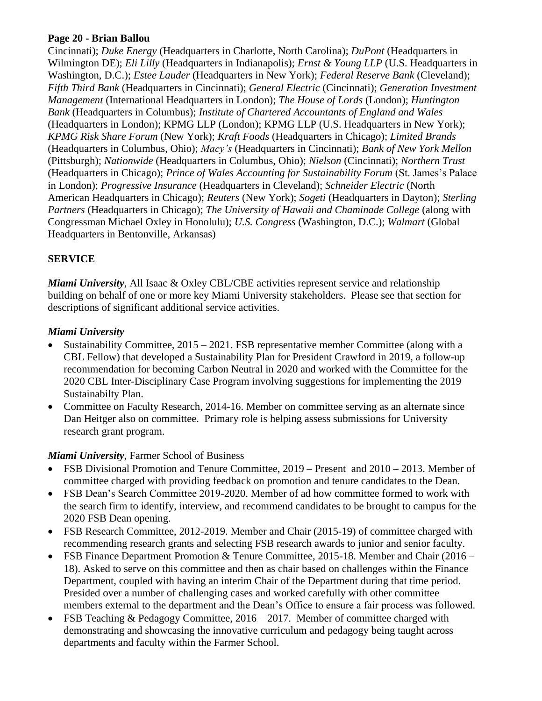## **Page 20 - Brian Ballou**

Cincinnati); *Duke Energy* (Headquarters in Charlotte, North Carolina); *DuPont* (Headquarters in Wilmington DE); *Eli Lilly* (Headquarters in Indianapolis); *Ernst & Young LLP* (U.S. Headquarters in Washington, D.C.); *Estee Lauder* (Headquarters in New York); *Federal Reserve Bank* (Cleveland); *Fifth Third Bank* (Headquarters in Cincinnati); *General Electric* (Cincinnati); *Generation Investment Management* (International Headquarters in London); *The House of Lords* (London); *Huntington Bank* (Headquarters in Columbus); *Institute of Chartered Accountants of England and Wales* (Headquarters in London); KPMG LLP (London); KPMG LLP (U.S. Headquarters in New York); *KPMG Risk Share Forum* (New York); *Kraft Foods* (Headquarters in Chicago); *Limited Brands* (Headquarters in Columbus, Ohio); *Macy's* (Headquarters in Cincinnati); *Bank of New York Mellon*  (Pittsburgh); *Nationwide* (Headquarters in Columbus, Ohio); *Nielson* (Cincinnati); *Northern Trust* (Headquarters in Chicago); *Prince of Wales Accounting for Sustainability Forum* (St. James's Palace in London); *Progressive Insurance* (Headquarters in Cleveland); *Schneider Electric* (North American Headquarters in Chicago); *Reuters* (New York); *Sogeti* (Headquarters in Dayton); *Sterling Partners* (Headquarters in Chicago); *The University of Hawaii and Chaminade College* (along with Congressman Michael Oxley in Honolulu); *U.S. Congress* (Washington, D.C.); *Walmart* (Global Headquarters in Bentonville, Arkansas)

# **SERVICE**

*Miami University*, All Isaac & Oxley CBL/CBE activities represent service and relationship building on behalf of one or more key Miami University stakeholders. Please see that section for descriptions of significant additional service activities.

# *Miami University*

- Sustainability Committee, 2015 2021. FSB representative member Committee (along with a CBL Fellow) that developed a Sustainability Plan for President Crawford in 2019, a follow-up recommendation for becoming Carbon Neutral in 2020 and worked with the Committee for the 2020 CBL Inter-Disciplinary Case Program involving suggestions for implementing the 2019 Sustainabilty Plan.
- Committee on Faculty Research, 2014-16. Member on committee serving as an alternate since Dan Heitger also on committee. Primary role is helping assess submissions for University research grant program.

# *Miami University,* Farmer School of Business

- FSB Divisional Promotion and Tenure Committee, 2019 Present and 2010 2013. Member of committee charged with providing feedback on promotion and tenure candidates to the Dean.
- FSB Dean's Search Committee 2019-2020. Member of ad how committee formed to work with the search firm to identify, interview, and recommend candidates to be brought to campus for the 2020 FSB Dean opening.
- FSB Research Committee, 2012-2019. Member and Chair (2015-19) of committee charged with recommending research grants and selecting FSB research awards to junior and senior faculty.
- FSB Finance Department Promotion & Tenure Committee, 2015-18. Member and Chair (2016 18). Asked to serve on this committee and then as chair based on challenges within the Finance Department, coupled with having an interim Chair of the Department during that time period. Presided over a number of challenging cases and worked carefully with other committee members external to the department and the Dean's Office to ensure a fair process was followed.
- FSB Teaching  $&$  Pedagogy Committee, 2016 2017. Member of committee charged with demonstrating and showcasing the innovative curriculum and pedagogy being taught across departments and faculty within the Farmer School.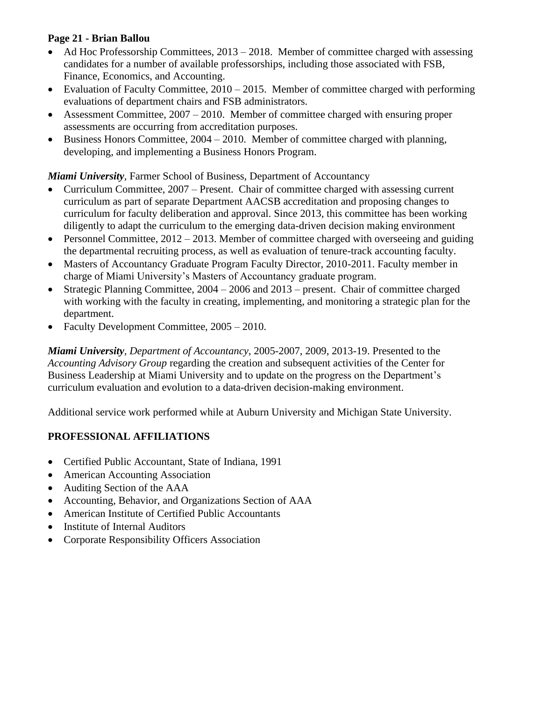# **Page 21 - Brian Ballou**

- Ad Hoc Professorship Committees, 2013 2018. Member of committee charged with assessing candidates for a number of available professorships, including those associated with FSB, Finance, Economics, and Accounting.
- Evaluation of Faculty Committee, 2010 2015. Member of committee charged with performing evaluations of department chairs and FSB administrators.
- Assessment Committee, 2007 2010. Member of committee charged with ensuring proper assessments are occurring from accreditation purposes.
- Business Honors Committee, 2004 2010. Member of committee charged with planning, developing, and implementing a Business Honors Program.

*Miami University*, Farmer School of Business, Department of Accountancy

- Curriculum Committee, 2007 Present. Chair of committee charged with assessing current curriculum as part of separate Department AACSB accreditation and proposing changes to curriculum for faculty deliberation and approval. Since 2013, this committee has been working diligently to adapt the curriculum to the emerging data-driven decision making environment
- Personnel Committee,  $2012 2013$ . Member of committee charged with overseeing and guiding the departmental recruiting process, as well as evaluation of tenure-track accounting faculty.
- Masters of Accountancy Graduate Program Faculty Director, 2010-2011. Faculty member in charge of Miami University's Masters of Accountancy graduate program.
- Strategic Planning Committee, 2004 2006 and 2013 present. Chair of committee charged with working with the faculty in creating, implementing, and monitoring a strategic plan for the department.
- Faculty Development Committee,  $2005 2010$ .

*Miami University, Department of Accountancy*, 2005-2007, 2009, 2013-19. Presented to the *Accounting Advisory Group* regarding the creation and subsequent activities of the Center for Business Leadership at Miami University and to update on the progress on the Department's curriculum evaluation and evolution to a data-driven decision-making environment.

Additional service work performed while at Auburn University and Michigan State University.

# **PROFESSIONAL AFFILIATIONS**

- Certified Public Accountant, State of Indiana, 1991
- American Accounting Association
- Auditing Section of the AAA
- Accounting, Behavior, and Organizations Section of AAA
- American Institute of Certified Public Accountants
- Institute of Internal Auditors
- Corporate Responsibility Officers Association